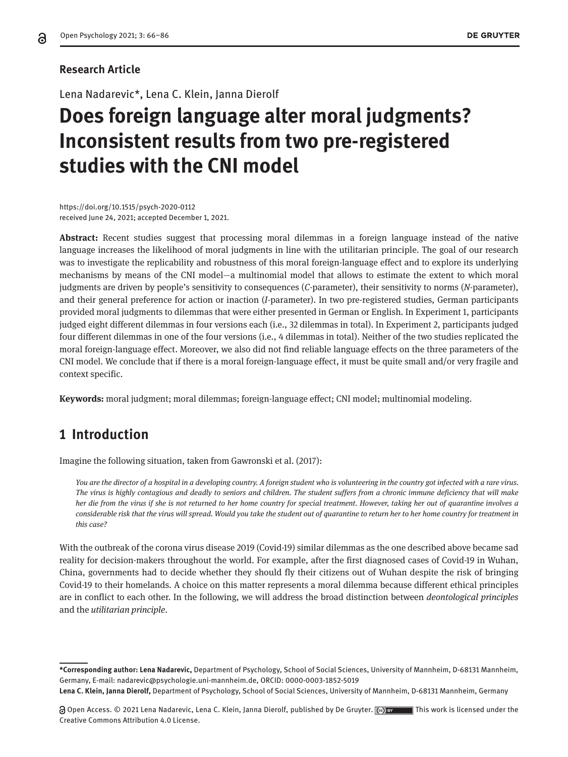# **Research Article**

Lena Nadarevic\*, Lena C. Klein, Janna Dierolf

# **Does foreign language alter moral judgments? Inconsistent results from two pre-registered studies with the CNI model**

https://doi.org/10.1515/psych-2020-0112 received June 24, 2021; accepted December 1, 2021.

**Abstract:** Recent studies suggest that processing moral dilemmas in a foreign language instead of the native language increases the likelihood of moral judgments in line with the utilitarian principle. The goal of our research was to investigate the replicability and robustness of this moral foreign-language effect and to explore its underlying mechanisms by means of the CNI model—a multinomial model that allows to estimate the extent to which moral judgments are driven by people's sensitivity to consequences (*C*-parameter), their sensitivity to norms (*N*-parameter), and their general preference for action or inaction (*I*-parameter). In two pre-registered studies, German participants provided moral judgments to dilemmas that were either presented in German or English. In Experiment 1, participants judged eight different dilemmas in four versions each (i.e., 32 dilemmas in total). In Experiment 2, participants judged four different dilemmas in one of the four versions (i.e., 4 dilemmas in total). Neither of the two studies replicated the moral foreign-language effect. Moreover, we also did not find reliable language effects on the three parameters of the CNI model. We conclude that if there is a moral foreign-language effect, it must be quite small and/or very fragile and context specific.

**Keywords:** moral judgment; moral dilemmas; foreign-language effect; CNI model; multinomial modeling.

# **1 Introduction**

Imagine the following situation, taken from Gawronski et al. (2017):

*You are the director of a hospital in a developing country. A foreign student who is volunteering in the country got infected with a rare virus. The virus is highly contagious and deadly to seniors and children. The student suffers from a chronic immune deficiency that will make her die from the virus if she is not returned to her home country for special treatment. However, taking her out of quarantine involves a considerable risk that the virus will spread. Would you take the student out of quarantine to return her to her home country for treatment in this case?*

With the outbreak of the corona virus disease 2019 (Covid-19) similar dilemmas as the one described above became sad reality for decision-makers throughout the world. For example, after the first diagnosed cases of Covid-19 in Wuhan, China, governments had to decide whether they should fly their citizens out of Wuhan despite the risk of bringing Covid-19 to their homelands. A choice on this matter represents a moral dilemma because different ethical principles are in conflict to each other. In the following, we will address the broad distinction between *deontological principles* and the *utilitarian principle*.

**<sup>\*</sup>Corresponding author: Lena Nadarevic,** Department of Psychology, School of Social Sciences, University of Mannheim, D-68131 Mannheim, Germany, E-mail: nadarevic@psychologie.uni-mannheim.de, ORCID: 0000-0003-1852-5019

**Lena C. Klein, Janna Dierolf,** Department of Psychology, School of Social Sciences, University of Mannheim, D-68131 Mannheim, Germany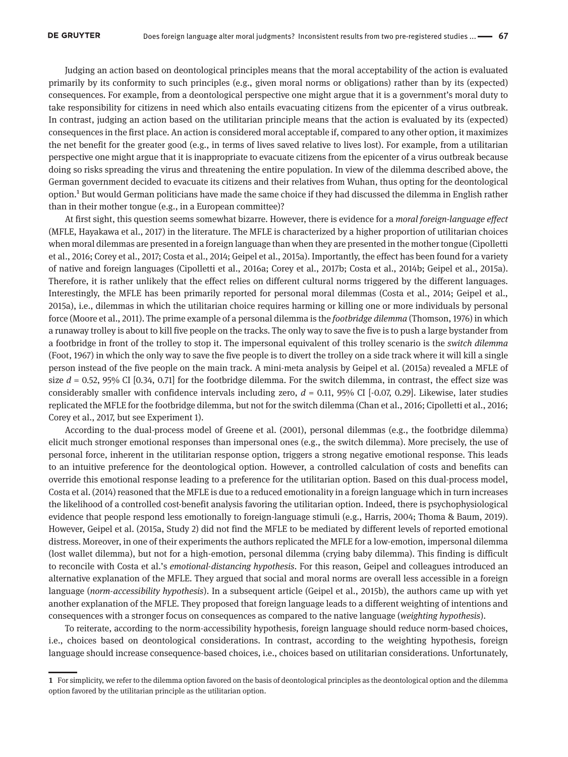Judging an action based on deontological principles means that the moral acceptability of the action is evaluated primarily by its conformity to such principles (e.g., given moral norms or obligations) rather than by its (expected) consequences. For example, from a deontological perspective one might argue that it is a government's moral duty to take responsibility for citizens in need which also entails evacuating citizens from the epicenter of a virus outbreak. In contrast, judging an action based on the utilitarian principle means that the action is evaluated by its (expected) consequences in the first place. An action is considered moral acceptable if, compared to any other option, it maximizes the net benefit for the greater good (e.g., in terms of lives saved relative to lives lost). For example, from a utilitarian perspective one might argue that it is inappropriate to evacuate citizens from the epicenter of a virus outbreak because doing so risks spreading the virus and threatening the entire population. In view of the dilemma described above, the German government decided to evacuate its citizens and their relatives from Wuhan, thus opting for the deontological option.1 But would German politicians have made the same choice if they had discussed the dilemma in English rather than in their mother tongue (e.g., in a European committee)?

At first sight, this question seems somewhat bizarre. However, there is evidence for a *moral foreign-language effect*  (MFLE, Hayakawa et al., 2017) in the literature. The MFLE is characterized by a higher proportion of utilitarian choices when moral dilemmas are presented in a foreign language than when they are presented in the mother tongue (Cipolletti et al., 2016; Corey et al., 2017; Costa et al., 2014; Geipel et al., 2015a). Importantly, the effect has been found for a variety of native and foreign languages (Cipolletti et al., 2016a; Corey et al., 2017b; Costa et al., 2014b; Geipel et al., 2015a). Therefore, it is rather unlikely that the effect relies on different cultural norms triggered by the different languages. Interestingly, the MFLE has been primarily reported for personal moral dilemmas (Costa et al., 2014; Geipel et al., 2015a), i.e., dilemmas in which the utilitarian choice requires harming or killing one or more individuals by personal force (Moore et al., 2011). The prime example of a personal dilemma is the *footbridge dilemma* (Thomson, 1976) in which a runaway trolley is about to kill five people on the tracks. The only way to save the five is to push a large bystander from a footbridge in front of the trolley to stop it. The impersonal equivalent of this trolley scenario is the *switch dilemma*  (Foot, 1967) in which the only way to save the five people is to divert the trolley on a side track where it will kill a single person instead of the five people on the main track. A mini-meta analysis by Geipel et al. (2015a) revealed a MFLE of size  $d = 0.52$ , 95% CI  $[0.34, 0.71]$  for the footbridge dilemma. For the switch dilemma, in contrast, the effect size was considerably smaller with confidence intervals including zero, *d* = 0.11, 95% CI [-0.07, 0.29]. Likewise, later studies replicated the MFLE for the footbridge dilemma, but not for the switch dilemma (Chan et al., 2016; Cipolletti et al., 2016; Corey et al., 2017, but see Experiment 1).

According to the dual-process model of Greene et al. (2001), personal dilemmas (e.g., the footbridge dilemma) elicit much stronger emotional responses than impersonal ones (e.g., the switch dilemma). More precisely, the use of personal force, inherent in the utilitarian response option, triggers a strong negative emotional response. This leads to an intuitive preference for the deontological option. However, a controlled calculation of costs and benefits can override this emotional response leading to a preference for the utilitarian option. Based on this dual-process model, Costa et al. (2014) reasoned that the MFLE is due to a reduced emotionality in a foreign language which in turn increases the likelihood of a controlled cost-benefit analysis favoring the utilitarian option. Indeed, there is psychophysiological evidence that people respond less emotionally to foreign-language stimuli (e.g., Harris, 2004; Thoma & Baum, 2019). However, Geipel et al. (2015a, Study 2) did not find the MFLE to be mediated by different levels of reported emotional distress. Moreover, in one of their experiments the authors replicated the MFLE for a low-emotion, impersonal dilemma (lost wallet dilemma), but not for a high-emotion, personal dilemma (crying baby dilemma). This finding is difficult to reconcile with Costa et al.'s *emotional-distancing hypothesis*. For this reason, Geipel and colleagues introduced an alternative explanation of the MFLE. They argued that social and moral norms are overall less accessible in a foreign language (*norm-accessibility hypothesis*). In a subsequent article (Geipel et al., 2015b), the authors came up with yet another explanation of the MFLE. They proposed that foreign language leads to a different weighting of intentions and consequences with a stronger focus on consequences as compared to the native language (*weighting hypothesis*).

To reiterate, according to the norm-accessibility hypothesis, foreign language should reduce norm-based choices, i.e., choices based on deontological considerations. In contrast, according to the weighting hypothesis, foreign language should increase consequence-based choices, i.e., choices based on utilitarian considerations. Unfortunately,

**<sup>1</sup>** For simplicity, we refer to the dilemma option favored on the basis of deontological principles as the deontological option and the dilemma option favored by the utilitarian principle as the utilitarian option.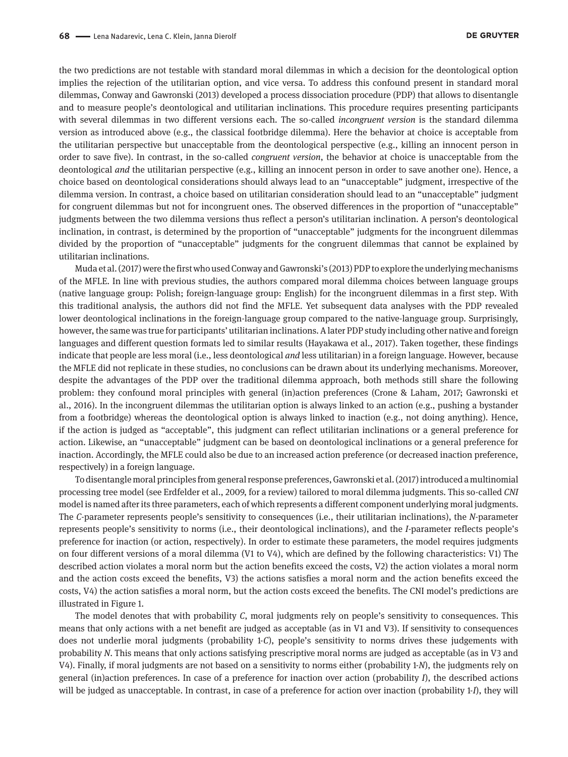the two predictions are not testable with standard moral dilemmas in which a decision for the deontological option implies the rejection of the utilitarian option, and vice versa. To address this confound present in standard moral dilemmas, Conway and Gawronski (2013) developed a process dissociation procedure (PDP) that allows to disentangle and to measure people's deontological and utilitarian inclinations. This procedure requires presenting participants with several dilemmas in two different versions each. The so-called *incongruent version* is the standard dilemma version as introduced above (e.g., the classical footbridge dilemma). Here the behavior at choice is acceptable from the utilitarian perspective but unacceptable from the deontological perspective (e.g., killing an innocent person in order to save five). In contrast, in the so-called *congruent version*, the behavior at choice is unacceptable from the deontological *and* the utilitarian perspective (e.g., killing an innocent person in order to save another one). Hence, a choice based on deontological considerations should always lead to an "unacceptable" judgment, irrespective of the dilemma version. In contrast, a choice based on utilitarian consideration should lead to an "unacceptable" judgment for congruent dilemmas but not for incongruent ones. The observed differences in the proportion of "unacceptable" judgments between the two dilemma versions thus reflect a person's utilitarian inclination. A person's deontological inclination, in contrast, is determined by the proportion of "unacceptable" judgments for the incongruent dilemmas divided by the proportion of "unacceptable" judgments for the congruent dilemmas that cannot be explained by utilitarian inclinations.

Muda et al. (2017) were the first who used Conway and Gawronski's (2013) PDP to explore the underlying mechanisms of the MFLE. In line with previous studies, the authors compared moral dilemma choices between language groups (native language group: Polish; foreign-language group: English) for the incongruent dilemmas in a first step. With this traditional analysis, the authors did not find the MFLE. Yet subsequent data analyses with the PDP revealed lower deontological inclinations in the foreign-language group compared to the native-language group. Surprisingly, however, the same was true for participants' utilitarian inclinations. A later PDP study including other native and foreign languages and different question formats led to similar results (Hayakawa et al., 2017). Taken together, these findings indicate that people are less moral (i.e., less deontological *and* less utilitarian) in a foreign language. However, because the MFLE did not replicate in these studies, no conclusions can be drawn about its underlying mechanisms. Moreover, despite the advantages of the PDP over the traditional dilemma approach, both methods still share the following problem: they confound moral principles with general (in)action preferences (Crone & Laham, 2017; Gawronski et al., 2016). In the incongruent dilemmas the utilitarian option is always linked to an action (e.g., pushing a bystander from a footbridge) whereas the deontological option is always linked to inaction (e.g., not doing anything). Hence, if the action is judged as "acceptable", this judgment can reflect utilitarian inclinations or a general preference for action. Likewise, an "unacceptable" judgment can be based on deontological inclinations or a general preference for inaction. Accordingly, the MFLE could also be due to an increased action preference (or decreased inaction preference, respectively) in a foreign language.

To disentangle moral principles from general response preferences, Gawronski et al. (2017) introduced a multinomial processing tree model (see Erdfelder et al., 2009, for a review) tailored to moral dilemma judgments. This so-called *CNI* model is named after its three parameters, each of which represents a different component underlying moral judgments. The *C*-parameter represents people's sensitivity to consequences (i.e., their utilitarian inclinations), the *N*-parameter represents people's sensitivity to norms (i.e., their deontological inclinations), and the *I*-parameter reflects people's preference for inaction (or action, respectively). In order to estimate these parameters, the model requires judgments on four different versions of a moral dilemma (V1 to V4), which are defined by the following characteristics: V1) The described action violates a moral norm but the action benefits exceed the costs, V2) the action violates a moral norm and the action costs exceed the benefits, V3) the actions satisfies a moral norm and the action benefits exceed the costs, V4) the action satisfies a moral norm, but the action costs exceed the benefits. The CNI model's predictions are illustrated in Figure 1.

The model denotes that with probability *C*, moral judgments rely on people's sensitivity to consequences. This means that only actions with a net benefit are judged as acceptable (as in V1 and V3). If sensitivity to consequences does not underlie moral judgments (probability 1-*C*), people's sensitivity to norms drives these judgements with probability *N*. This means that only actions satisfying prescriptive moral norms are judged as acceptable (as in V3 and V4). Finally, if moral judgments are not based on a sensitivity to norms either (probability 1-*N*), the judgments rely on general (in)action preferences. In case of a preference for inaction over action (probability *I*), the described actions will be judged as unacceptable. In contrast, in case of a preference for action over inaction (probability 1-*I*), they will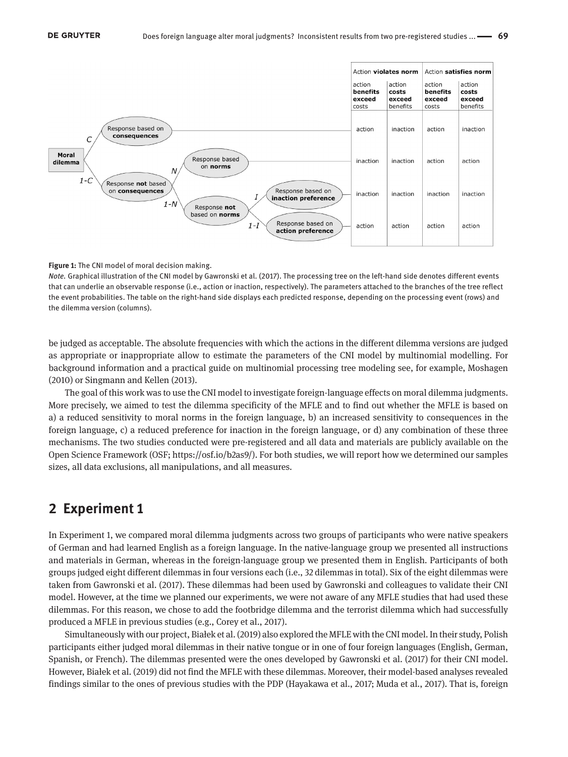

#### **Figure 1:** The CNI model of moral decision making.

*Note.* Graphical illustration of the CNI model by Gawronski et al. (2017). The processing tree on the left-hand side denotes different events that can underlie an observable response (i.e., action or inaction, respectively). The parameters attached to the branches of the tree reflect the event probabilities. The table on the right-hand side displays each predicted response, depending on the processing event (rows) and the dilemma version (columns).

be judged as acceptable. The absolute frequencies with which the actions in the different dilemma versions are judged as appropriate or inappropriate allow to estimate the parameters of the CNI model by multinomial modelling. For background information and a practical guide on multinomial processing tree modeling see, for example, Moshagen (2010) or Singmann and Kellen (2013).

The goal of this work was to use the CNI model to investigate foreign-language effects on moral dilemma judgments. More precisely, we aimed to test the dilemma specificity of the MFLE and to find out whether the MFLE is based on a) a reduced sensitivity to moral norms in the foreign language, b) an increased sensitivity to consequences in the foreign language, c) a reduced preference for inaction in the foreign language, or d) any combination of these three mechanisms. The two studies conducted were pre-registered and all data and materials are publicly available on the Open Science Framework (OSF;<https://osf.io/b2as9/>). For both studies, we will report how we determined our samples sizes, all data exclusions, all manipulations, and all measures.

# **2 Experiment 1**

In Experiment 1, we compared moral dilemma judgments across two groups of participants who were native speakers of German and had learned English as a foreign language. In the native-language group we presented all instructions and materials in German, whereas in the foreign-language group we presented them in English. Participants of both groups judged eight different dilemmas in four versions each (i.e., 32 dilemmas in total). Six of the eight dilemmas were taken from Gawronski et al. (2017). These dilemmas had been used by Gawronski and colleagues to validate their CNI model. However, at the time we planned our experiments, we were not aware of any MFLE studies that had used these dilemmas. For this reason, we chose to add the footbridge dilemma and the terrorist dilemma which had successfully produced a MFLE in previous studies (e.g., Corey et al., 2017).

Simultaneously with our project, Białek et al. (2019) also explored the MFLE with the CNI model. In their study, Polish participants either judged moral dilemmas in their native tongue or in one of four foreign languages (English, German, Spanish, or French). The dilemmas presented were the ones developed by Gawronski et al. (2017) for their CNI model. However, Białek et al. (2019) did not find the MFLE with these dilemmas. Moreover, their model-based analyses revealed findings similar to the ones of previous studies with the PDP (Hayakawa et al., 2017; Muda et al., 2017). That is, foreign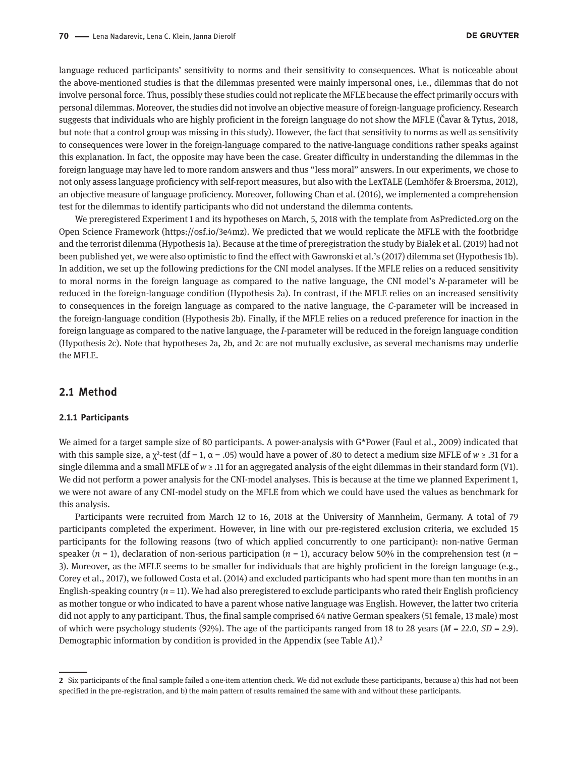language reduced participants' sensitivity to norms and their sensitivity to consequences. What is noticeable about the above-mentioned studies is that the dilemmas presented were mainly impersonal ones, i.e., dilemmas that do not involve personal force. Thus, possibly these studies could not replicate the MFLE because the effect primarily occurs with personal dilemmas. Moreover, the studies did not involve an objective measure of foreign-language proficiency. Research suggests that individuals who are highly proficient in the foreign language do not show the MFLE (Čavar & Tytus, 2018, but note that a control group was missing in this study). However, the fact that sensitivity to norms as well as sensitivity to consequences were lower in the foreign-language compared to the native-language conditions rather speaks against this explanation. In fact, the opposite may have been the case. Greater difficulty in understanding the dilemmas in the foreign language may have led to more random answers and thus "less moral" answers. In our experiments, we chose to not only assess language proficiency with self-report measures, but also with the LexTALE (Lemhöfer & Broersma, 2012), an objective measure of language proficiency. Moreover, following Chan et al. (2016), we implemented a comprehension test for the dilemmas to identify participants who did not understand the dilemma contents.

We preregistered Experiment 1 and its hypotheses on March, 5, 2018 with the template from AsPredicted.org on the Open Science Framework ([https://osf.io/3e4mz\)](https://osf.io/3e4mz). We predicted that we would replicate the MFLE with the footbridge and the terrorist dilemma (Hypothesis 1a). Because at the time of preregistration the study by Białek et al. (2019) had not been published yet, we were also optimistic to find the effect with Gawronski et al.'s (2017) dilemma set (Hypothesis 1b). In addition, we set up the following predictions for the CNI model analyses. If the MFLE relies on a reduced sensitivity to moral norms in the foreign language as compared to the native language, the CNI model's *N*-parameter will be reduced in the foreign-language condition (Hypothesis 2a). In contrast, if the MFLE relies on an increased sensitivity to consequences in the foreign language as compared to the native language, the *C*-parameter will be increased in the foreign-language condition (Hypothesis 2b). Finally, if the MFLE relies on a reduced preference for inaction in the foreign language as compared to the native language, the *I*-parameter will be reduced in the foreign language condition (Hypothesis 2c). Note that hypotheses 2a, 2b, and 2c are not mutually exclusive, as several mechanisms may underlie the MFLE.

### **2.1 Method**

#### **2.1.1 Participants**

We aimed for a target sample size of 80 participants. A power-analysis with G\*Power (Faul et al., 2009) indicated that with this sample size, a  $\chi^2$ -test (df = 1,  $\alpha$  = .05) would have a power of .80 to detect a medium size MFLE of  $w \ge 0.31$  for a single dilemma and a small MFLE of *w* ≥ .11 for an aggregated analysis of the eight dilemmas in their standard form (V1). We did not perform a power analysis for the CNI-model analyses. This is because at the time we planned Experiment 1, we were not aware of any CNI-model study on the MFLE from which we could have used the values as benchmark for this analysis.

Participants were recruited from March 12 to 16, 2018 at the University of Mannheim, Germany. A total of 79 participants completed the experiment. However, in line with our pre-registered exclusion criteria, we excluded 15 participants for the following reasons (two of which applied concurrently to one participant): non-native German speaker (*n* = 1), declaration of non-serious participation (*n* = 1), accuracy below 50% in the comprehension test (*n* = 3). Moreover, as the MFLE seems to be smaller for individuals that are highly proficient in the foreign language (e.g., Corey et al., 2017), we followed Costa et al. (2014) and excluded participants who had spent more than ten months in an English-speaking country  $(n = 11)$ . We had also preregistered to exclude participants who rated their English proficiency as mother tongue or who indicated to have a parent whose native language was English. However, the latter two criteria did not apply to any participant. Thus, the final sample comprised 64 native German speakers (51 female, 13 male) most of which were psychology students (92%). The age of the participants ranged from 18 to 28 years (*M* = 22.0, *SD* = 2.9). Demographic information by condition is provided in the Appendix (see Table A1).<sup>2</sup>

**<sup>2</sup>** Six participants of the final sample failed a one-item attention check. We did not exclude these participants, because a) this had not been specified in the pre-registration, and b) the main pattern of results remained the same with and without these participants.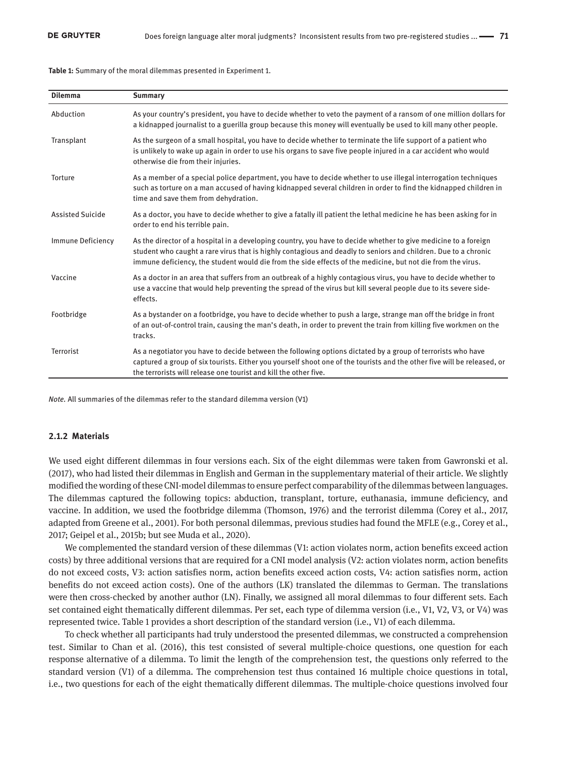**Table 1:** Summary of the moral dilemmas presented in Experiment 1.

| <b>Dilemma</b>          | <b>Summary</b>                                                                                                                                                                                                                                                                                                                                   |
|-------------------------|--------------------------------------------------------------------------------------------------------------------------------------------------------------------------------------------------------------------------------------------------------------------------------------------------------------------------------------------------|
| Abduction               | As your country's president, you have to decide whether to veto the payment of a ransom of one million dollars for<br>a kidnapped journalist to a guerilla group because this money will eventually be used to kill many other people.                                                                                                           |
| Transplant              | As the surgeon of a small hospital, you have to decide whether to terminate the life support of a patient who<br>is unlikely to wake up again in order to use his organs to save five people injured in a car accident who would<br>otherwise die from their injuries.                                                                           |
| Torture                 | As a member of a special police department, you have to decide whether to use illegal interrogation techniques<br>such as torture on a man accused of having kidnapped several children in order to find the kidnapped children in<br>time and save them from dehydration.                                                                       |
| <b>Assisted Suicide</b> | As a doctor, you have to decide whether to give a fatally ill patient the lethal medicine he has been asking for in<br>order to end his terrible pain.                                                                                                                                                                                           |
| Immune Deficiency       | As the director of a hospital in a developing country, you have to decide whether to give medicine to a foreign<br>student who caught a rare virus that is highly contagious and deadly to seniors and children. Due to a chronic<br>immune deficiency, the student would die from the side effects of the medicine, but not die from the virus. |
| Vaccine                 | As a doctor in an area that suffers from an outbreak of a highly contagious virus, you have to decide whether to<br>use a vaccine that would help preventing the spread of the virus but kill several people due to its severe side-<br>effects.                                                                                                 |
| Footbridge              | As a bystander on a footbridge, you have to decide whether to push a large, strange man off the bridge in front<br>of an out-of-control train, causing the man's death, in order to prevent the train from killing five workmen on the<br>tracks.                                                                                                |
| <b>Terrorist</b>        | As a negotiator you have to decide between the following options dictated by a group of terrorists who have<br>captured a group of six tourists. Either you yourself shoot one of the tourists and the other five will be released, or<br>the terrorists will release one tourist and kill the other five.                                       |

*Note.* All summaries of the dilemmas refer to the standard dilemma version (V1)

#### **2.1.2 Materials**

We used eight different dilemmas in four versions each. Six of the eight dilemmas were taken from Gawronski et al. (2017), who had listed their dilemmas in English and German in the supplementary material of their article. We slightly modified the wording of these CNI-model dilemmas to ensure perfect comparability of the dilemmas between languages. The dilemmas captured the following topics: abduction, transplant, torture, euthanasia, immune deficiency, and vaccine. In addition, we used the footbridge dilemma (Thomson, 1976) and the terrorist dilemma (Corey et al., 2017, adapted from Greene et al., 2001). For both personal dilemmas, previous studies had found the MFLE (e.g., Corey et al., 2017; Geipel et al., 2015b; but see Muda et al., 2020).

We complemented the standard version of these dilemmas (V1: action violates norm, action benefits exceed action costs) by three additional versions that are required for a CNI model analysis (V2: action violates norm, action benefits do not exceed costs, V3: action satisfies norm, action benefits exceed action costs, V4: action satisfies norm, action benefits do not exceed action costs). One of the authors (LK) translated the dilemmas to German. The translations were then cross-checked by another author (LN). Finally, we assigned all moral dilemmas to four different sets. Each set contained eight thematically different dilemmas. Per set, each type of dilemma version (i.e., V1, V2, V3, or V4) was represented twice. Table 1 provides a short description of the standard version (i.e., V1) of each dilemma.

To check whether all participants had truly understood the presented dilemmas, we constructed a comprehension test. Similar to Chan et al. (2016), this test consisted of several multiple-choice questions, one question for each response alternative of a dilemma. To limit the length of the comprehension test, the questions only referred to the standard version (V1) of a dilemma. The comprehension test thus contained 16 multiple choice questions in total, i.e., two questions for each of the eight thematically different dilemmas. The multiple-choice questions involved four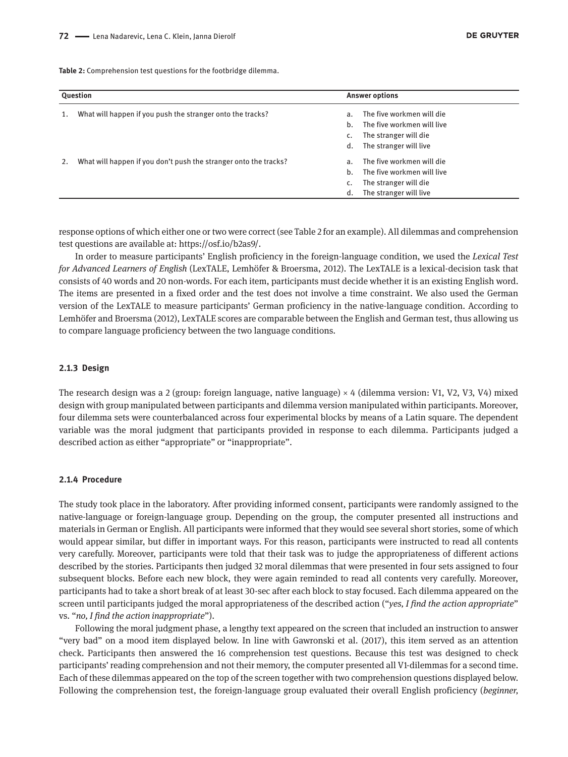**Table 2:** Comprehension test questions for the footbridge dilemma.

| Question |                                                                  | <b>Answer options</b> |                            |  |
|----------|------------------------------------------------------------------|-----------------------|----------------------------|--|
| 1.       | What will happen if you push the stranger onto the tracks?       | a.                    | The five workmen will die  |  |
|          |                                                                  | h.                    | The five workmen will live |  |
|          |                                                                  |                       | The stranger will die      |  |
|          |                                                                  | d.                    | The stranger will live     |  |
| 2.       | What will happen if you don't push the stranger onto the tracks? | a.                    | The five workmen will die  |  |
|          |                                                                  | h.                    | The five workmen will live |  |
|          |                                                                  |                       | The stranger will die      |  |
|          |                                                                  | d.                    | The stranger will live     |  |

response options of which either one or two were correct (see Table 2 for an example). All dilemmas and comprehension test questions are available at: <https://osf.io/b2as9/>.

In order to measure participants' English proficiency in the foreign-language condition, we used the *Lexical Test for Advanced Learners of English* (LexTALE, Lemhöfer & Broersma, 2012). The LexTALE is a lexical-decision task that consists of 40 words and 20 non-words. For each item, participants must decide whether it is an existing English word. The items are presented in a fixed order and the test does not involve a time constraint. We also used the German version of the LexTALE to measure participants' German proficiency in the native-language condition. According to Lemhöfer and Broersma (2012), LexTALE scores are comparable between the English and German test, thus allowing us to compare language proficiency between the two language conditions.

#### **2.1.3 Design**

The research design was a 2 (group: foreign language, native language)  $\times$  4 (dilemma version: V1, V2, V3, V4) mixed design with group manipulated between participants and dilemma version manipulated within participants. Moreover, four dilemma sets were counterbalanced across four experimental blocks by means of a Latin square. The dependent variable was the moral judgment that participants provided in response to each dilemma. Participants judged a described action as either "appropriate" or "inappropriate".

#### **2.1.4 Procedure**

The study took place in the laboratory. After providing informed consent, participants were randomly assigned to the native-language or foreign-language group. Depending on the group, the computer presented all instructions and materials in German or English. All participants were informed that they would see several short stories, some of which would appear similar, but differ in important ways. For this reason, participants were instructed to read all contents very carefully. Moreover, participants were told that their task was to judge the appropriateness of different actions described by the stories. Participants then judged 32 moral dilemmas that were presented in four sets assigned to four subsequent blocks. Before each new block, they were again reminded to read all contents very carefully. Moreover, participants had to take a short break of at least 30-sec after each block to stay focused. Each dilemma appeared on the screen until participants judged the moral appropriateness of the described action ("*yes, I find the action appropriate*" vs. "*no, I find the action inappropriate*").

Following the moral judgment phase, a lengthy text appeared on the screen that included an instruction to answer "very bad" on a mood item displayed below. In line with Gawronski et al. (2017), this item served as an attention check. Participants then answered the 16 comprehension test questions. Because this test was designed to check participants' reading comprehension and not their memory, the computer presented all V1-dilemmas for a second time. Each of these dilemmas appeared on the top of the screen together with two comprehension questions displayed below. Following the comprehension test, the foreign-language group evaluated their overall English proficiency (*beginner,*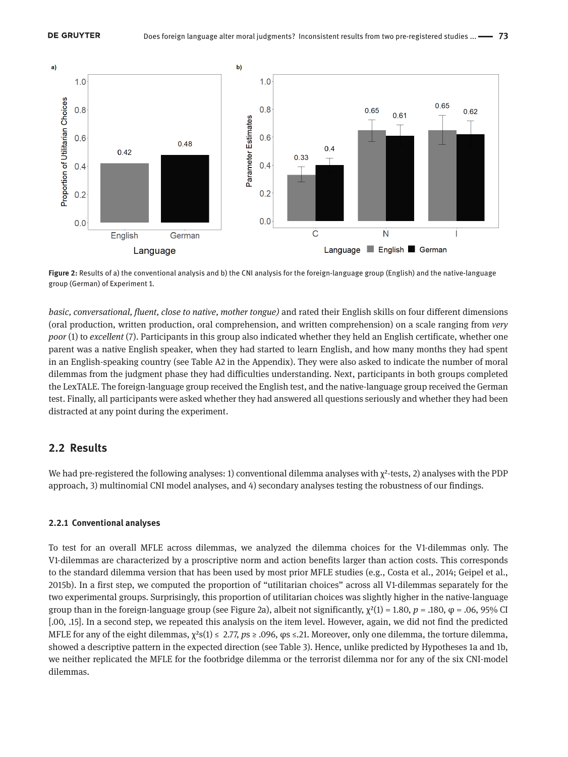

**Figure 2:** Results of a) the conventional analysis and b) the CNI analysis for the foreign-language group (English) and the native-language group (German) of Experiment 1.

*basic, conversational, fluent, close to native, mother tongue)* and rated their English skills on four different dimensions (oral production, written production, oral comprehension, and written comprehension) on a scale ranging from *very poor* (1) to *excellent* (7). Participants in this group also indicated whether they held an English certificate, whether one parent was a native English speaker, when they had started to learn English, and how many months they had spent in an English-speaking country (see Table A2 in the Appendix). They were also asked to indicate the number of moral dilemmas from the judgment phase they had difficulties understanding. Next, participants in both groups completed the LexTALE. The foreign-language group received the English test, and the native-language group received the German test. Finally, all participants were asked whether they had answered all questions seriously and whether they had been distracted at any point during the experiment.

## **2.2 Results**

We had pre-registered the following analyses: 1) conventional dilemma analyses with  $\chi^2$ -tests, 2) analyses with the PDP approach, 3) multinomial CNI model analyses, and 4) secondary analyses testing the robustness of our findings.

#### **2.2.1 Conventional analyses**

To test for an overall MFLE across dilemmas, we analyzed the dilemma choices for the V1-dilemmas only. The V1-dilemmas are characterized by a proscriptive norm and action benefits larger than action costs. This corresponds to the standard dilemma version that has been used by most prior MFLE studies (e.g., Costa et al., 2014; Geipel et al., 2015b). In a first step, we computed the proportion of "utilitarian choices" across all V1-dilemmas separately for the two experimental groups. Surprisingly, this proportion of utilitarian choices was slightly higher in the native-language group than in the foreign-language group (see Figure 2a), albeit not significantly,  $\chi^2(1) = 1.80$ ,  $p = .180$ ,  $φ = .06$ , 95% CI [.00, .15]. In a second step, we repeated this analysis on the item level. However, again, we did not find the predicted MFLE for any of the eight dilemmas, χ²s(1) ≤ 2.77, *p*s ≥ .096, φs ≤.21. Moreover, only one dilemma, the torture dilemma, showed a descriptive pattern in the expected direction (see Table 3). Hence, unlike predicted by Hypotheses 1a and 1b, we neither replicated the MFLE for the footbridge dilemma or the terrorist dilemma nor for any of the six CNI-model dilemmas.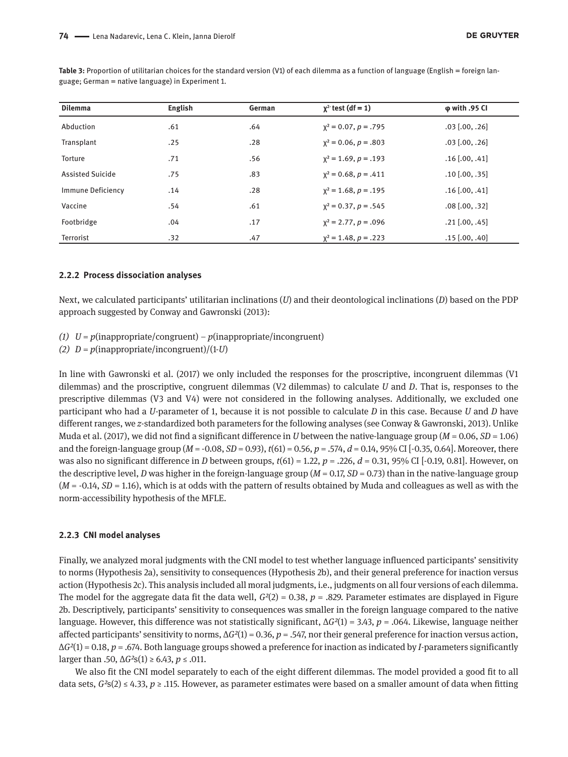| <b>Dilemma</b>          | <b>English</b> | German | $\chi^2$ test (df = 1)    | <b>ω</b> with .95 CI |
|-------------------------|----------------|--------|---------------------------|----------------------|
| Abduction               | .61            | .64    | $x^2 = 0.07$ , $p = .795$ | $.03$ [.00, .26]     |
| Transplant              | .25            | .28    | $x^2 = 0.06$ , $p = .803$ | $.03$ [.00, .26]     |
| Torture                 | .71            | .56    | $x^2 = 1.69, p = .193$    | $.16$ [.00, .41]     |
| <b>Assisted Suicide</b> | .75            | .83    | $x^2 = 0.68$ , $p = .411$ | $.10$ [.00, .35]     |
| Immune Deficiency       | .14            | .28    | $x^2 = 1.68$ , $p = .195$ | $.16$ [.00, .41]     |
| Vaccine                 | .54            | .61    | $x^2 = 0.37$ , $p = .545$ | $.08$ $[.00, .32]$   |
| Footbridge              | .04            | .17    | $x^2 = 2.77$ , $p = .096$ | $.21$ [.00, .45]     |
| Terrorist               | .32            | .47    | $x^2 = 1.48$ , $p = .223$ | $.15$ $[.00, .40]$   |

Table 3: Proportion of utilitarian choices for the standard version (V1) of each dilemma as a function of language (English = foreign language; German = native language) in Experiment 1.

#### **2.2.2 Process dissociation analyses**

Next, we calculated participants' utilitarian inclinations (*U*) and their deontological inclinations (*D*) based on the PDP approach suggested by Conway and Gawronski (2013):

*(1)*  $U = p$ (inappropriate/congruent) –  $p$ (inappropriate/incongruent)

*(2) D* = *p*(inappropriate/incongruent)/(1-*U*)

In line with Gawronski et al. (2017) we only included the responses for the proscriptive, incongruent dilemmas (V1 dilemmas) and the proscriptive, congruent dilemmas (V2 dilemmas) to calculate *U* and *D*. That is, responses to the prescriptive dilemmas (V3 and V4) were not considered in the following analyses. Additionally, we excluded one participant who had a *U*-parameter of 1, because it is not possible to calculate *D* in this case. Because *U* and *D* have different ranges, we *z*-standardized both parameters for the following analyses (see Conway & Gawronski, 2013). Unlike Muda et al. (2017), we did not find a significant difference in *U* between the native-language group (*M* = 0.06, *SD* = 1.06) and the foreign-language group (*M* = -0.08, *SD* = 0.93), *t*(61) = 0.56, *p* = .574, *d* = 0.14, 95% CI [-0.35, 0.64]. Moreover, there was also no significant difference in *D* between groups,  $t(61) = 1.22$ ,  $p = .226$ ,  $d = 0.31$ , 95% CI [-0.19, 0.81]. However, on the descriptive level, *D* was higher in the foreign-language group  $(M = 0.17, SD = 0.73)$  than in the native-language group (*M* = -0.14, *SD* = 1.16), which is at odds with the pattern of results obtained by Muda and colleagues as well as with the norm-accessibility hypothesis of the MFLE.

#### **2.2.3 CNI model analyses**

Finally, we analyzed moral judgments with the CNI model to test whether language influenced participants' sensitivity to norms (Hypothesis 2a), sensitivity to consequences (Hypothesis 2b), and their general preference for inaction versus action (Hypothesis 2c). This analysis included all moral judgments, i.e., judgments on all four versions of each dilemma. The model for the aggregate data fit the data well,  $G<sup>2</sup>(2) = 0.38$ ,  $p = .829$ . Parameter estimates are displayed in Figure 2b. Descriptively, participants' sensitivity to consequences was smaller in the foreign language compared to the native language. However, this difference was not statistically significant, Δ*G²*(1) = 3.43, *p* = .064. Likewise, language neither affected participants' sensitivity to norms, Δ*G²*(1) = 0.36, *p* = .547, nor their general preference for inaction versus action, Δ*G²*(1) = 0.18, *p* = .674. Both language groups showed a preference for inaction as indicated by *I*-parameters significantly larger than .50,  $\Delta G$ <sup>2</sup>s(1) ≥ 6.43, *p* ≤ .011.

We also fit the CNI model separately to each of the eight different dilemmas. The model provided a good fit to all data sets,  $G^2s(2) \le 4.33$ ,  $p \ge 115$ . However, as parameter estimates were based on a smaller amount of data when fitting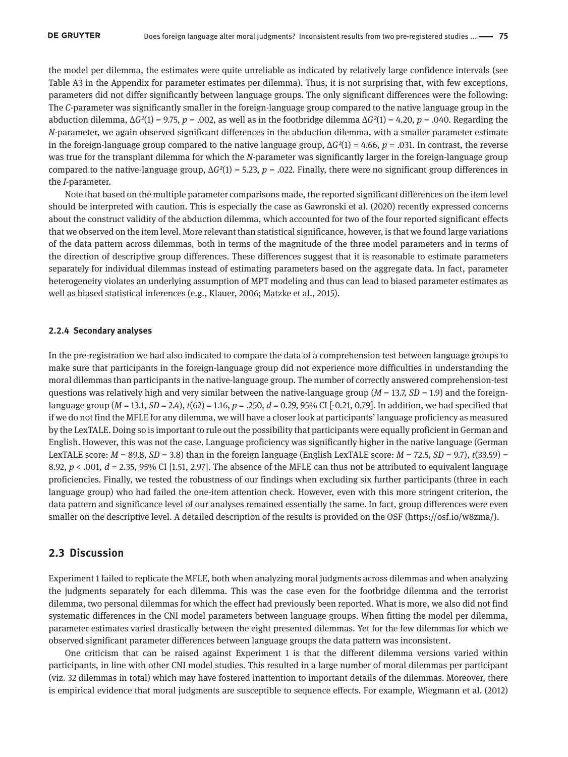the model per dilemma, the estimates were quite unreliable as indicated by relatively large confidence intervals (see Table A3 in the Appendix for parameter estimates per dilemma). Thus, it is not surprising that, with few exceptions, parameters did not differ significantly between language groups. The only significant differences were the following: The *C*-parameter was significantly smaller in the foreign-language group compared to the native language group in the abduction dilemma, Δ*G²*(1) = 9.75, *p* = .002, as well as in the footbridge dilemma Δ*G²*(1) = 4.20, *p* = .040. Regarding the *N*-parameter, we again observed significant differences in the abduction dilemma, with a smaller parameter estimate in the foreign-language group compared to the native language group,  $\Delta G^2(1) = 4.66$ ,  $p = .031$ . In contrast, the reverse was true for the transplant dilemma for which the *N*-parameter was significantly larger in the foreign-language group compared to the native-language group,  $Δ<sup>2</sup>(1) = 5.23$ ,  $p = .022$ . Finally, there were no significant group differences in the *I*-parameter.

Note that based on the multiple parameter comparisons made, the reported significant differences on the item level should be interpreted with caution. This is especially the case as Gawronski et al. (2020) recently expressed concerns about the construct validity of the abduction dilemma, which accounted for two of the four reported significant effects that we observed on the item level. More relevant than statistical significance, however, is that we found large variations of the data pattern across dilemmas, both in terms of the magnitude of the three model parameters and in terms of the direction of descriptive group differences. These differences suggest that it is reasonable to estimate parameters separately for individual dilemmas instead of estimating parameters based on the aggregate data. In fact, parameter heterogeneity violates an underlying assumption of MPT modeling and thus can lead to biased parameter estimates as well as biased statistical inferences (e.g., Klauer, 2006; Matzke et al., 2015).

#### **2.2.4 Secondary analyses**

In the pre-registration we had also indicated to compare the data of a comprehension test between language groups to make sure that participants in the foreign-language group did not experience more difficulties in understanding the moral dilemmas than participants in the native-language group. The number of correctly answered comprehension-test questions was relatively high and very similar between the native-language group (*M* = 13.7, *SD* = 1.9) and the foreignlanguage group (*M* = 13.1, *SD* = 2.4), *t*(62) = 1.16, *p* = .250, *d* = 0.29, 95% CI [-0.21, 0.79]. In addition, we had specified that if we do not find the MFLE for any dilemma, we will have a closer look at participants' language proficiency as measured by the LexTALE. Doing so is important to rule out the possibility that participants were equally proficient in German and English. However, this was not the case. Language proficiency was significantly higher in the native language (German LexTALE score: *M* = 89.8, *SD* = 3.8) than in the foreign language (English LexTALE score: *M* = 72.5, *SD* = 9.7), *t*(33.59) = 8.92,  $p < .001$ ,  $d = 2.35$ , 95% CI [1.51, 2.97]. The absence of the MFLE can thus not be attributed to equivalent language proficiencies. Finally, we tested the robustness of our findings when excluding six further participants (three in each language group) who had failed the one-item attention check. However, even with this more stringent criterion, the data pattern and significance level of our analyses remained essentially the same. In fact, group differences were even smaller on the descriptive level. A detailed description of the results is provided on the OSF ([https://osf.io/w8zma/\)](https://osf.io/w8zma/).

### **2.3 Discussion**

Experiment 1 failed to replicate the MFLE, both when analyzing moral judgments across dilemmas and when analyzing the judgments separately for each dilemma. This was the case even for the footbridge dilemma and the terrorist dilemma, two personal dilemmas for which the effect had previously been reported. What is more, we also did not find systematic differences in the CNI model parameters between language groups. When fitting the model per dilemma, parameter estimates varied drastically between the eight presented dilemmas. Yet for the few dilemmas for which we observed significant parameter differences between language groups the data pattern was inconsistent.

One criticism that can be raised against Experiment 1 is that the different dilemma versions varied within participants, in line with other CNI model studies. This resulted in a large number of moral dilemmas per participant (viz. 32 dilemmas in total) which may have fostered inattention to important details of the dilemmas. Moreover, there is empirical evidence that moral judgments are susceptible to sequence effects. For example, Wiegmann et al. (2012)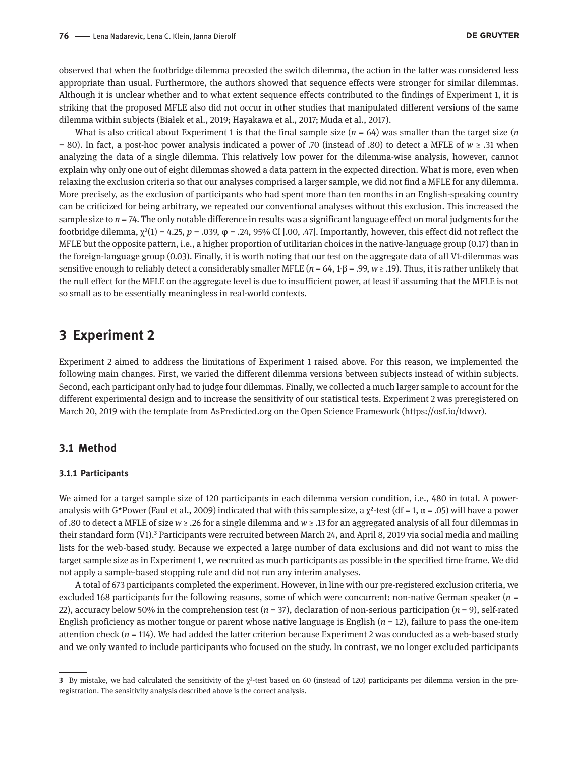observed that when the footbridge dilemma preceded the switch dilemma, the action in the latter was considered less appropriate than usual. Furthermore, the authors showed that sequence effects were stronger for similar dilemmas. Although it is unclear whether and to what extent sequence effects contributed to the findings of Experiment 1, it is striking that the proposed MFLE also did not occur in other studies that manipulated different versions of the same dilemma within subjects (Białek et al., 2019; Hayakawa et al., 2017; Muda et al., 2017).

What is also critical about Experiment 1 is that the final sample size  $(n = 64)$  was smaller than the target size  $(n)$ = 80). In fact, a post-hoc power analysis indicated a power of .70 (instead of .80) to detect a MFLE of *w* ≥ .31 when analyzing the data of a single dilemma. This relatively low power for the dilemma-wise analysis, however, cannot explain why only one out of eight dilemmas showed a data pattern in the expected direction. What is more, even when relaxing the exclusion criteria so that our analyses comprised a larger sample, we did not find a MFLE for any dilemma. More precisely, as the exclusion of participants who had spent more than ten months in an English-speaking country can be criticized for being arbitrary, we repeated our conventional analyses without this exclusion. This increased the sample size to  $n = 74$ . The only notable difference in results was a significant language effect on moral judgments for the footbridge dilemma,  $\chi^2(1) = 4.25$ ,  $p = .039$ ,  $\varphi = .24$ , 95% CI [.00, .47]. Importantly, however, this effect did not reflect the MFLE but the opposite pattern, i.e., a higher proportion of utilitarian choices in the native-language group (0.17) than in the foreign-language group (0.03). Finally, it is worth noting that our test on the aggregate data of all V1-dilemmas was sensitive enough to reliably detect a considerably smaller MFLE ( $n = 64$ ,  $1-\beta = .99$ ,  $w \ge .19$ ). Thus, it is rather unlikely that the null effect for the MFLE on the aggregate level is due to insufficient power, at least if assuming that the MFLE is not so small as to be essentially meaningless in real-world contexts.

# **3 Experiment 2**

Experiment 2 aimed to address the limitations of Experiment 1 raised above. For this reason, we implemented the following main changes. First, we varied the different dilemma versions between subjects instead of within subjects. Second, each participant only had to judge four dilemmas. Finally, we collected a much larger sample to account for the different experimental design and to increase the sensitivity of our statistical tests. Experiment 2 was preregistered on March 20, 2019 with the template from AsPredicted.org on the Open Science Framework (<https://osf.io/tdwvr>).

## **3.1 Method**

#### **3.1.1 Participants**

We aimed for a target sample size of 120 participants in each dilemma version condition, i.e., 480 in total. A poweranalysis with G\*Power (Faul et al., 2009) indicated that with this sample size, a  $\chi^2$ -test (df = 1,  $\alpha$  = .05) will have a power of .80 to detect a MFLE of size *w* ≥ .26 for a single dilemma and *w* ≥ .13 for an aggregated analysis of all four dilemmas in their standard form (V1).<sup>3</sup> Participants were recruited between March 24, and April 8, 2019 via social media and mailing lists for the web-based study. Because we expected a large number of data exclusions and did not want to miss the target sample size as in Experiment 1, we recruited as much participants as possible in the specified time frame. We did not apply a sample-based stopping rule and did not run any interim analyses.

A total of 673 participants completed the experiment. However, in line with our pre-registered exclusion criteria, we excluded 168 participants for the following reasons, some of which were concurrent: non-native German speaker (*n* = 22), accuracy below 50% in the comprehension test (*n* = 37), declaration of non-serious participation (*n* = 9), self-rated English proficiency as mother tongue or parent whose native language is English  $(n = 12)$ , failure to pass the one-item attention check  $(n = 114)$ . We had added the latter criterion because Experiment 2 was conducted as a web-based study and we only wanted to include participants who focused on the study. In contrast, we no longer excluded participants

**<sup>3</sup>** By mistake, we had calculated the sensitivity of the  $\chi^2$ -test based on 60 (instead of 120) participants per dilemma version in the preregistration. The sensitivity analysis described above is the correct analysis.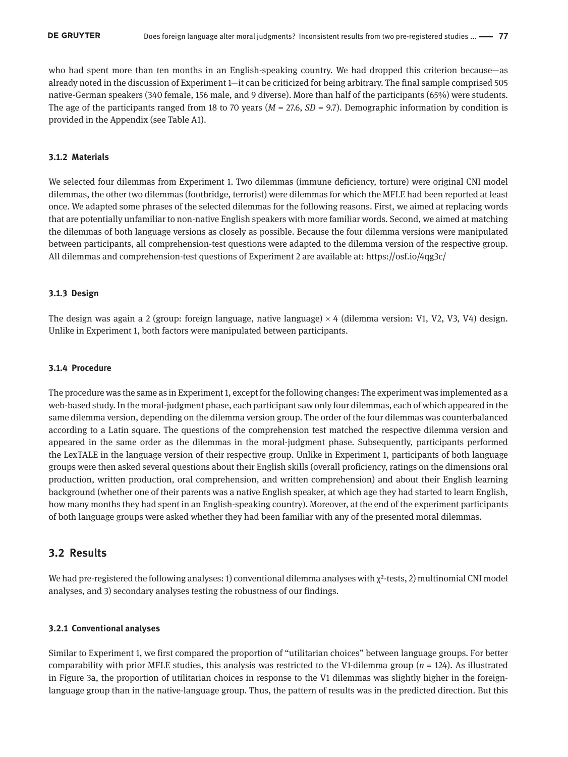who had spent more than ten months in an English-speaking country. We had dropped this criterion because—as already noted in the discussion of Experiment 1—it can be criticized for being arbitrary. The final sample comprised 505 native-German speakers (340 female, 156 male, and 9 diverse). More than half of the participants (65%) were students. The age of the participants ranged from 18 to 70 years (*M* = 27.6, *SD* = 9.7). Demographic information by condition is provided in the Appendix (see Table A1).

#### **3.1.2 Materials**

We selected four dilemmas from Experiment 1. Two dilemmas (immune deficiency, torture) were original CNI model dilemmas, the other two dilemmas (footbridge, terrorist) were dilemmas for which the MFLE had been reported at least once. We adapted some phrases of the selected dilemmas for the following reasons. First, we aimed at replacing words that are potentially unfamiliar to non-native English speakers with more familiar words. Second, we aimed at matching the dilemmas of both language versions as closely as possible. Because the four dilemma versions were manipulated between participants, all comprehension-test questions were adapted to the dilemma version of the respective group. All dilemmas and comprehension-test questions of Experiment 2 are available at:<https://osf.io/4qg3c/>

#### **3.1.3 Design**

The design was again a 2 (group: foreign language, native language) × 4 (dilemma version: V1, V2, V3, V4) design. Unlike in Experiment 1, both factors were manipulated between participants.

#### **3.1.4 Procedure**

The procedure was the same as in Experiment 1, except for the following changes: The experiment was implemented as a web-based study. In the moral-judgment phase, each participant saw only four dilemmas, each of which appeared in the same dilemma version, depending on the dilemma version group. The order of the four dilemmas was counterbalanced according to a Latin square. The questions of the comprehension test matched the respective dilemma version and appeared in the same order as the dilemmas in the moral-judgment phase. Subsequently, participants performed the LexTALE in the language version of their respective group. Unlike in Experiment 1, participants of both language groups were then asked several questions about their English skills (overall proficiency, ratings on the dimensions oral production, written production, oral comprehension, and written comprehension) and about their English learning background (whether one of their parents was a native English speaker, at which age they had started to learn English, how many months they had spent in an English-speaking country). Moreover, at the end of the experiment participants of both language groups were asked whether they had been familiar with any of the presented moral dilemmas.

### **3.2 Results**

We had pre-registered the following analyses: 1) conventional dilemma analyses with  $\chi^2$ -tests, 2) multinomial CNI model analyses, and 3) secondary analyses testing the robustness of our findings.

#### **3.2.1 Conventional analyses**

Similar to Experiment 1, we first compared the proportion of "utilitarian choices" between language groups. For better comparability with prior MFLE studies, this analysis was restricted to the V1-dilemma group  $(n = 124)$ . As illustrated in Figure 3a, the proportion of utilitarian choices in response to the V1 dilemmas was slightly higher in the foreignlanguage group than in the native-language group. Thus, the pattern of results was in the predicted direction. But this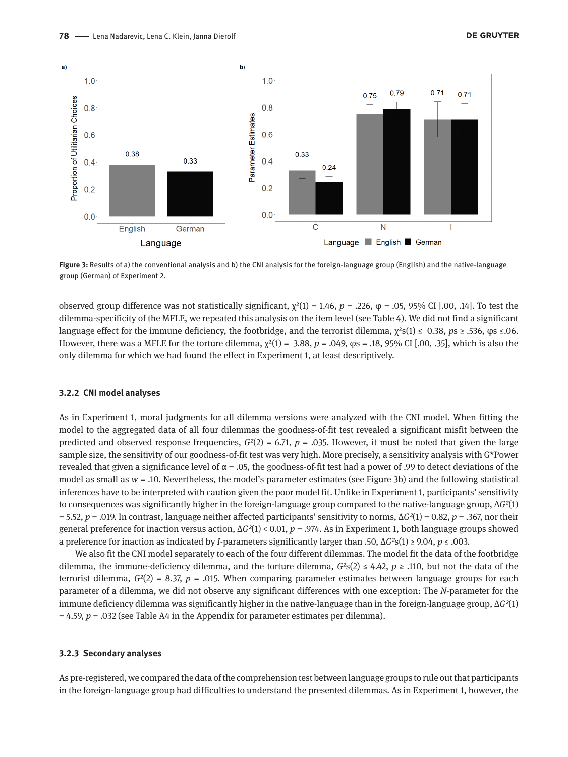

**Figure 3:** Results of a) the conventional analysis and b) the CNI analysis for the foreign-language group (English) and the native-language group (German) of Experiment 2.

observed group difference was not statistically significant,  $χ<sup>2</sup>(1) = 1.46$ ,  $p = .226$ ,  $φ = .05$ ,  $95%$  CI [.00, .14]. To test the dilemma-specificity of the MFLE, we repeated this analysis on the item level (see Table 4). We did not find a significant language effect for the immune deficiency, the footbridge, and the terrorist dilemma,  $\chi^2 s(1) \le 0.38$ ,  $p s \ge 0.536$ ,  $q s \le 0.06$ . However, there was a MFLE for the torture dilemma, χ²(1) = 3.88, *p* = .049, φs = .18, 95% CI [.00, .35], which is also the only dilemma for which we had found the effect in Experiment 1, at least descriptively.

#### **3.2.2 CNI model analyses**

As in Experiment 1, moral judgments for all dilemma versions were analyzed with the CNI model. When fitting the model to the aggregated data of all four dilemmas the goodness-of-fit test revealed a significant misfit between the predicted and observed response frequencies,  $G<sup>2</sup>(2) = 6.71$ ,  $p = .035$ . However, it must be noted that given the large sample size, the sensitivity of our goodness-of-fit test was very high. More precisely, a sensitivity analysis with G\*Power revealed that given a significance level of  $\alpha$  = .05, the goodness-of-fit test had a power of .99 to detect deviations of the model as small as *w* = .10. Nevertheless, the model's parameter estimates (see Figure 3b) and the following statistical inferences have to be interpreted with caution given the poor model fit. Unlike in Experiment 1, participants' sensitivity to consequences was significantly higher in the foreign-language group compared to the native-language group, Δ*G²*(1) = 5.52, *p* = .019. In contrast, language neither affected participants' sensitivity to norms, Δ*G²*(1) = 0.82, *p* = .367, nor their general preference for inaction versus action, Δ*G²*(1) < 0.01, *p* = .974. As in Experiment 1, both language groups showed a preference for inaction as indicated by *I*-parameters significantly larger than .50, Δ*G²*s(1) ≥ 9.04, *p* ≤ .003.

We also fit the CNI model separately to each of the four different dilemmas. The model fit the data of the footbridge dilemma, the immune-deficiency dilemma, and the torture dilemma,  $G^{2}(2) \le 4.42$ ,  $p \ge .110$ , but not the data of the terrorist dilemma,  $G^{2}(2) = 8.37$ ,  $p = .015$ . When comparing parameter estimates between language groups for each parameter of a dilemma, we did not observe any significant differences with one exception: The *N*-parameter for the immune deficiency dilemma was significantly higher in the native-language than in the foreign-language group, Δ*G²*(1)  $= 4.59$ ,  $p = .032$  (see Table A4 in the Appendix for parameter estimates per dilemma).

#### **3.2.3 Secondary analyses**

As pre-registered, we compared the data of the comprehension test between language groups to rule out that participants in the foreign-language group had difficulties to understand the presented dilemmas. As in Experiment 1, however, the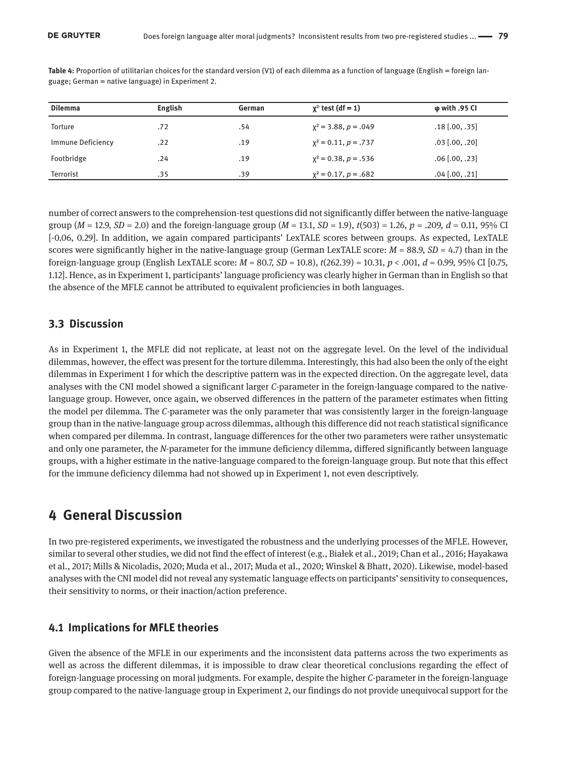| <b>Dilemma</b>    | <b>English</b> | German | $\chi^2$ test (df = 1)    | $\varphi$ with .95 CI |
|-------------------|----------------|--------|---------------------------|-----------------------|
| <b>Torture</b>    | .72            | .54    | $x^2 = 3.88, p = .049$    | $.18$ [.00, .35]      |
| Immune Deficiency | .22            | .19    | $x^2 = 0.11$ , $p = .737$ | $.03$ [.00, .20]      |
| Footbridge        | .24            | .19    | $x^2 = 0.38$ , $p = .536$ | $.06$ [.00, .23]      |
| <b>Terrorist</b>  | .35            | .39    | $x^2 = 0.17$ , $p = .682$ | $.04$ [.00, .21]      |

Table 4: Proportion of utilitarian choices for the standard version (V1) of each dilemma as a function of language (English = foreign language; German = native language) in Experiment 2.

number of correct answers to the comprehension-test questions did not significantly differ between the native-language group ( $M = 12.9$ ,  $SD = 2.0$ ) and the foreign-language group ( $M = 13.1$ ,  $SD = 1.9$ ),  $t(503) = 1.26$ ,  $p = .209$ ,  $d = 0.11$ , 95% CI [-0.06, 0.29]. In addition, we again compared participants' LexTALE scores between groups. As expected, LexTALE scores were significantly higher in the native-language group (German LexTALE score:  $M = 88.9$ ,  $SD = 4.7$ ) than in the foreign-language group (English LexTALE score: *M* = 80.7, *SD* = 10.8), *t*(262.39) = 10.31, *p* < .001, *d* = 0.99, 95% CI [0.75, 1.12]. Hence, as in Experiment 1, participants' language proficiency was clearly higher in German than in English so that the absence of the MFLE cannot be attributed to equivalent proficiencies in both languages.

## **3.3 Discussion**

As in Experiment 1, the MFLE did not replicate, at least not on the aggregate level. On the level of the individual dilemmas, however, the effect was present for the torture dilemma. Interestingly, this had also been the only of the eight dilemmas in Experiment 1 for which the descriptive pattern was in the expected direction. On the aggregate level, data analyses with the CNI model showed a significant larger *C*-parameter in the foreign-language compared to the nativelanguage group. However, once again, we observed differences in the pattern of the parameter estimates when fitting the model per dilemma. The *C*-parameter was the only parameter that was consistently larger in the foreign-language group than in the native-language group across dilemmas, although this difference did not reach statistical significance when compared per dilemma. In contrast, language differences for the other two parameters were rather unsystematic and only one parameter, the *N*-parameter for the immune deficiency dilemma, differed significantly between language groups, with a higher estimate in the native-language compared to the foreign-language group. But note that this effect for the immune deficiency dilemma had not showed up in Experiment 1, not even descriptively.

# **4 General Discussion**

In two pre-registered experiments, we investigated the robustness and the underlying processes of the MFLE. However, similar to several other studies, we did not find the effect of interest (e.g., Białek et al., 2019; Chan et al., 2016; Hayakawa et al., 2017; Mills & Nicoladis, 2020; Muda et al., 2017; Muda et al., 2020; Winskel & Bhatt, 2020). Likewise, model-based analyses with the CNI model did not reveal any systematic language effects on participants' sensitivity to consequences, their sensitivity to norms, or their inaction/action preference.

## **4.1 Implications for MFLE theories**

Given the absence of the MFLE in our experiments and the inconsistent data patterns across the two experiments as well as across the different dilemmas, it is impossible to draw clear theoretical conclusions regarding the effect of foreign-language processing on moral judgments. For example, despite the higher *C*-parameter in the foreign-language group compared to the native-language group in Experiment 2, our findings do not provide unequivocal support for the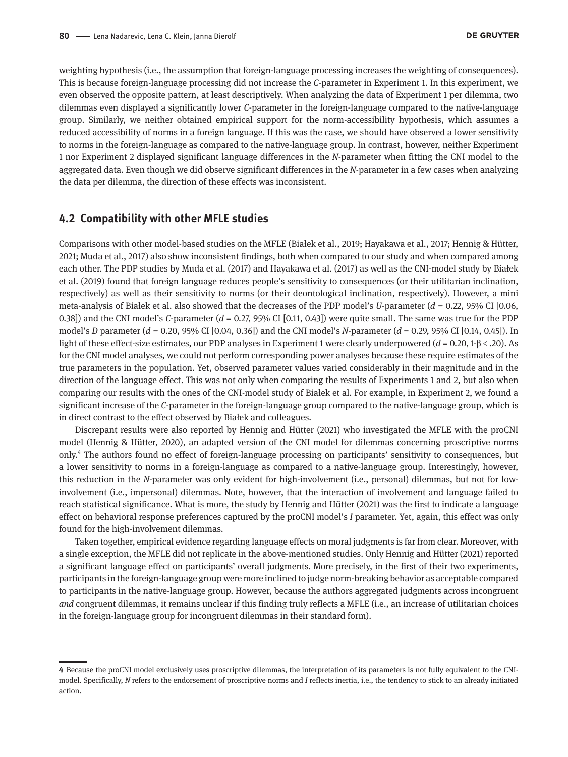weighting hypothesis (i.e., the assumption that foreign-language processing increases the weighting of consequences). This is because foreign-language processing did not increase the *C*-parameter in Experiment 1. In this experiment, we even observed the opposite pattern, at least descriptively. When analyzing the data of Experiment 1 per dilemma, two dilemmas even displayed a significantly lower *C*-parameter in the foreign-language compared to the native-language group. Similarly, we neither obtained empirical support for the norm-accessibility hypothesis, which assumes a reduced accessibility of norms in a foreign language. If this was the case, we should have observed a lower sensitivity to norms in the foreign-language as compared to the native-language group. In contrast, however, neither Experiment 1 nor Experiment 2 displayed significant language differences in the *N*-parameter when fitting the CNI model to the aggregated data. Even though we did observe significant differences in the *N*-parameter in a few cases when analyzing the data per dilemma, the direction of these effects was inconsistent.

### **4.2 Compatibility with other MFLE studies**

Comparisons with other model-based studies on the MFLE (Białek et al., 2019; Hayakawa et al., 2017; Hennig & Hütter, 2021; Muda et al., 2017) also show inconsistent findings, both when compared to our study and when compared among each other. The PDP studies by Muda et al. (2017) and Hayakawa et al. (2017) as well as the CNI-model study by Białek et al. (2019) found that foreign language reduces people's sensitivity to consequences (or their utilitarian inclination, respectively) as well as their sensitivity to norms (or their deontological inclination, respectively). However, a mini meta-analysis of Białek et al. also showed that the decreases of the PDP model's *U*-parameter (*d =* 0.22, 95% CI [0.06, 0.38]) and the CNI model's *C*-parameter (*d* = 0.27, 95% CI [0.11, 0.43]) were quite small. The same was true for the PDP model's *D* parameter (*d =* 0.20, 95% CI [0.04, 0.36]) and the CNI model's *N*-parameter (*d* = 0.29, 95% CI [0.14, 0.45]). In light of these effect-size estimates, our PDP analyses in Experiment 1 were clearly underpowered (*d* = 0.20, 1-β < .20). As for the CNI model analyses, we could not perform corresponding power analyses because these require estimates of the true parameters in the population. Yet, observed parameter values varied considerably in their magnitude and in the direction of the language effect. This was not only when comparing the results of Experiments 1 and 2, but also when comparing our results with the ones of the CNI-model study of Białek et al. For example, in Experiment 2, we found a significant increase of the *C*-parameter in the foreign-language group compared to the native-language group, which is in direct contrast to the effect observed by Białek and colleagues.

Discrepant results were also reported by Hennig and Hütter (2021) who investigated the MFLE with the proCNI model (Hennig & Hütter, 2020), an adapted version of the CNI model for dilemmas concerning proscriptive norms only.4 The authors found no effect of foreign-language processing on participants' sensitivity to consequences, but a lower sensitivity to norms in a foreign-language as compared to a native-language group. Interestingly, however, this reduction in the *N*-parameter was only evident for high-involvement (i.e., personal) dilemmas, but not for lowinvolvement (i.e., impersonal) dilemmas. Note, however, that the interaction of involvement and language failed to reach statistical significance. What is more, the study by Hennig and Hütter (2021) was the first to indicate a language effect on behavioral response preferences captured by the proCNI model's *I* parameter. Yet, again, this effect was only found for the high-involvement dilemmas.

Taken together, empirical evidence regarding language effects on moral judgments is far from clear. Moreover, with a single exception, the MFLE did not replicate in the above-mentioned studies. Only Hennig and Hütter (2021) reported a significant language effect on participants' overall judgments. More precisely, in the first of their two experiments, participants in the foreign-language group were more inclined to judge norm-breaking behavior as acceptable compared to participants in the native-language group. However, because the authors aggregated judgments across incongruent *and* congruent dilemmas, it remains unclear if this finding truly reflects a MFLE (i.e., an increase of utilitarian choices in the foreign-language group for incongruent dilemmas in their standard form).

**<sup>4</sup>** Because the proCNI model exclusively uses proscriptive dilemmas, the interpretation of its parameters is not fully equivalent to the CNImodel. Specifically, *N* refers to the endorsement of proscriptive norms and *I* reflects inertia, i.e., the tendency to stick to an already initiated action.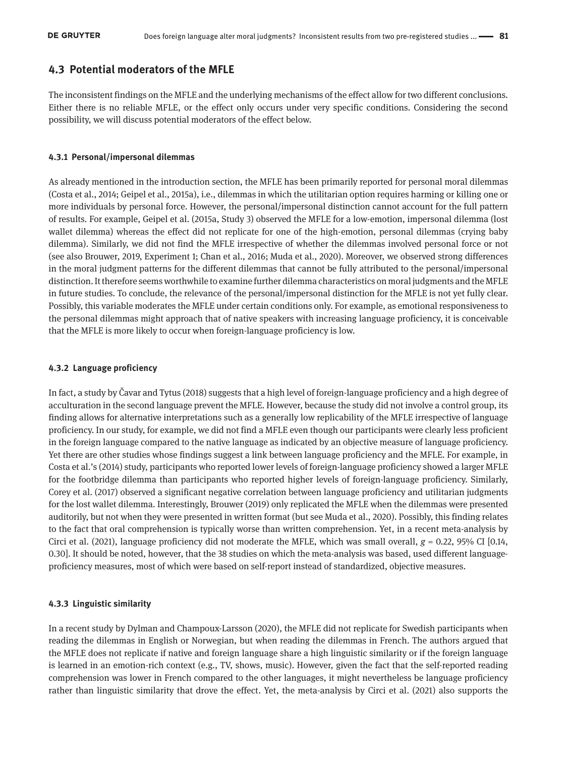# **4.3 Potential moderators of the MFLE**

The inconsistent findings on the MFLE and the underlying mechanisms of the effect allow for two different conclusions. Either there is no reliable MFLE, or the effect only occurs under very specific conditions. Considering the second possibility, we will discuss potential moderators of the effect below.

#### **4.3.1 Personal/impersonal dilemmas**

As already mentioned in the introduction section, the MFLE has been primarily reported for personal moral dilemmas (Costa et al., 2014; Geipel et al., 2015a), i.e., dilemmas in which the utilitarian option requires harming or killing one or more individuals by personal force. However, the personal/impersonal distinction cannot account for the full pattern of results. For example, Geipel et al. (2015a, Study 3) observed the MFLE for a low-emotion, impersonal dilemma (lost wallet dilemma) whereas the effect did not replicate for one of the high-emotion, personal dilemmas (crying baby dilemma). Similarly, we did not find the MFLE irrespective of whether the dilemmas involved personal force or not (see also Brouwer, 2019, Experiment 1; Chan et al., 2016; Muda et al., 2020). Moreover, we observed strong differences in the moral judgment patterns for the different dilemmas that cannot be fully attributed to the personal/impersonal distinction. It therefore seems worthwhile to examine further dilemma characteristics on moral judgments and the MFLE in future studies. To conclude, the relevance of the personal/impersonal distinction for the MFLE is not yet fully clear. Possibly, this variable moderates the MFLE under certain conditions only. For example, as emotional responsiveness to the personal dilemmas might approach that of native speakers with increasing language proficiency, it is conceivable that the MFLE is more likely to occur when foreign-language proficiency is low.

#### **4.3.2 Language proficiency**

In fact, a study by Čavar and Tytus (2018) suggests that a high level of foreign-language proficiency and a high degree of acculturation in the second language prevent the MFLE. However, because the study did not involve a control group, its finding allows for alternative interpretations such as a generally low replicability of the MFLE irrespective of language proficiency. In our study, for example, we did not find a MFLE even though our participants were clearly less proficient in the foreign language compared to the native language as indicated by an objective measure of language proficiency. Yet there are other studies whose findings suggest a link between language proficiency and the MFLE. For example, in Costa et al.'s (2014) study, participants who reported lower levels of foreign-language proficiency showed a larger MFLE for the footbridge dilemma than participants who reported higher levels of foreign-language proficiency. Similarly, Corey et al. (2017) observed a significant negative correlation between language proficiency and utilitarian judgments for the lost wallet dilemma. Interestingly, Brouwer (2019) only replicated the MFLE when the dilemmas were presented auditorily, but not when they were presented in written format (but see Muda et al., 2020). Possibly, this finding relates to the fact that oral comprehension is typically worse than written comprehension. Yet, in a recent meta-analysis by Circi et al. (2021), language proficiency did not moderate the MFLE, which was small overall,  $g = 0.22$ , 95% CI [0.14, 0.30]. It should be noted, however, that the 38 studies on which the meta-analysis was based, used different languageproficiency measures, most of which were based on self-report instead of standardized, objective measures.

#### **4.3.3 Linguistic similarity**

In a recent study by Dylman and Champoux-Larsson (2020), the MFLE did not replicate for Swedish participants when reading the dilemmas in English or Norwegian, but when reading the dilemmas in French. The authors argued that the MFLE does not replicate if native and foreign language share a high linguistic similarity or if the foreign language is learned in an emotion-rich context (e.g., TV, shows, music). However, given the fact that the self-reported reading comprehension was lower in French compared to the other languages, it might nevertheless be language proficiency rather than linguistic similarity that drove the effect. Yet, the meta-analysis by Circi et al. (2021) also supports the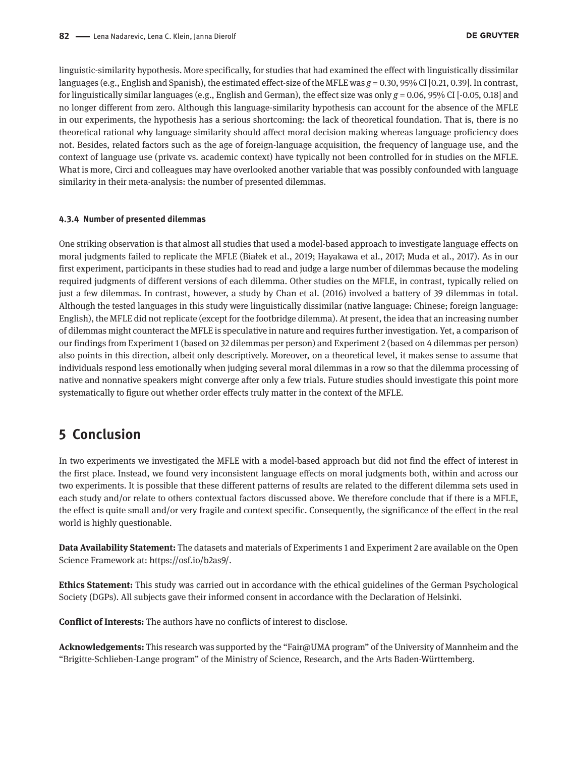linguistic-similarity hypothesis. More specifically, for studies that had examined the effect with linguistically dissimilar languages (e.g., English and Spanish), the estimated effect-size of the MFLE was *g* = 0.30, 95% CI [0.21, 0.39]. In contrast, for linguistically similar languages (e.g., English and German), the effect size was only *g* = 0.06, 95% CI [-0.05, 0.18] and no longer different from zero. Although this language-similarity hypothesis can account for the absence of the MFLE in our experiments, the hypothesis has a serious shortcoming: the lack of theoretical foundation. That is, there is no theoretical rational why language similarity should affect moral decision making whereas language proficiency does not. Besides, related factors such as the age of foreign-language acquisition, the frequency of language use, and the context of language use (private vs. academic context) have typically not been controlled for in studies on the MFLE. What is more, Circi and colleagues may have overlooked another variable that was possibly confounded with language similarity in their meta-analysis: the number of presented dilemmas.

#### **4.3.4 Number of presented dilemmas**

One striking observation is that almost all studies that used a model-based approach to investigate language effects on moral judgments failed to replicate the MFLE (Białek et al., 2019; Hayakawa et al., 2017; Muda et al., 2017). As in our first experiment, participants in these studies had to read and judge a large number of dilemmas because the modeling required judgments of different versions of each dilemma. Other studies on the MFLE, in contrast, typically relied on just a few dilemmas. In contrast, however, a study by Chan et al. (2016) involved a battery of 39 dilemmas in total. Although the tested languages in this study were linguistically dissimilar (native language: Chinese; foreign language: English), the MFLE did not replicate (except for the footbridge dilemma). At present, the idea that an increasing number of dilemmas might counteract the MFLE is speculative in nature and requires further investigation. Yet, a comparison of our findings from Experiment 1 (based on 32 dilemmas per person) and Experiment 2 (based on 4 dilemmas per person) also points in this direction, albeit only descriptively. Moreover, on a theoretical level, it makes sense to assume that individuals respond less emotionally when judging several moral dilemmas in a row so that the dilemma processing of native and nonnative speakers might converge after only a few trials. Future studies should investigate this point more systematically to figure out whether order effects truly matter in the context of the MFLE.

# **5 Conclusion**

In two experiments we investigated the MFLE with a model-based approach but did not find the effect of interest in the first place. Instead, we found very inconsistent language effects on moral judgments both, within and across our two experiments. It is possible that these different patterns of results are related to the different dilemma sets used in each study and/or relate to others contextual factors discussed above. We therefore conclude that if there is a MFLE, the effect is quite small and/or very fragile and context specific. Consequently, the significance of the effect in the real world is highly questionable.

**Data Availability Statement:** The datasets and materials of Experiments 1 and Experiment 2 are available on the Open Science Framework at: <https://osf.io/b2as9/>.

**Ethics Statement:** This study was carried out in accordance with the ethical guidelines of the German Psychological Society (DGPs). All subjects gave their informed consent in accordance with the Declaration of Helsinki.

**Conflict of Interests:** The authors have no conflicts of interest to disclose.

**Acknowledgements:** This research was supported by the "Fair@UMA program" of the University of Mannheim and the "Brigitte-Schlieben-Lange program" of the Ministry of Science, Research, and the Arts Baden-Württemberg.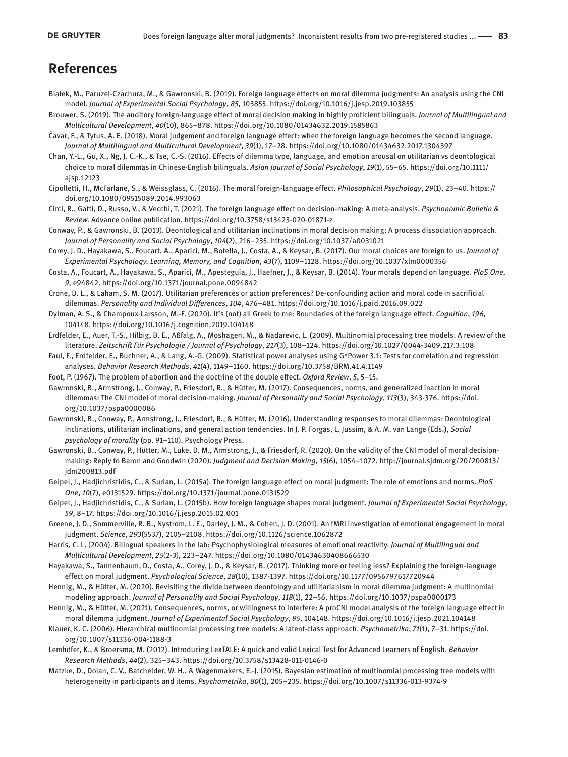# **References**

- Białek, M., Paruzel-Czachura, M., & Gawronski, B. (2019). Foreign language effects on moral dilemma judgments: An analysis using the CNI model. *Journal of Experimental Social Psychology*, *85*, 103855. https://doi.org/10.1016/j.jesp.2019.103855
- Brouwer, S. (2019). The auditory foreign-language effect of moral decision making in highly proficient bilinguals. *Journal of Multilingual and Multicultural Development*, *40*(10), 865–878. https://doi.org/10.1080/01434632.2019.1585863
- Čavar, F., & Tytus, A. E. (2018). Moral judgement and foreign language effect: when the foreign language becomes the second language. *Journal of Multilingual and Multicultural Development*, *39*(1), 17–28. https://doi.org/10.1080/01434632.2017.1304397
- Chan, Y.-L., Gu, X., Ng, J. C.-K., & Tse, C.-S. (2016). Effects of dilemma type, language, and emotion arousal on utilitarian vs deontological choice to moral dilemmas in Chinese-English bilinguals. *Asian Journal of Social Psychology*, *19*(1), 55–65. [https://doi.org/10.1111/](https://doi.org/10.1111/ajsp.12123
) [ajsp.12123](https://doi.org/10.1111/ajsp.12123
)
- Cipolletti, H., McFarlane, S., & Weissglass, C. (2016). The moral foreign-language effect. *Philosophical Psychology*, *29*(1), 23–40. [https://](ttps://doi.org/10.1080/09515089.2014.993063) [doi.org/10.1080/09515089.2014.993063](ttps://doi.org/10.1080/09515089.2014.993063)
- Circi, R., Gatti, D., Russo, V., & Vecchi, T. (2021). The foreign language effect on decision-making: A meta-analysis. *Psychonomic Bulletin & Review.* Advance online publication. https://doi.org/10.3758/s13423-020-01871-z
- Conway, P., & Gawronski, B. (2013). Deontological and utilitarian inclinations in moral decision making: A process dissociation approach. *Journal of Personality and Social Psychology*, *104*(2), 216–235. https://doi.org/10.1037/a0031021
- Corey, J. D., Hayakawa, S., Foucart, A., Aparici, M., Botella, J., Costa, A., & Keysar, B. (2017). Our moral choices are foreign to us. *Journal of Experimental Psychology. Learning, Memory, and Cognition*, *43*(7), 1109–1128. https://doi.org/10.1037/xlm0000356
- Costa, A., Foucart, A., Hayakawa, S., Aparici, M., Apesteguia, J., Haefner, J., & Keysar, B. (2014). Your morals depend on language. *PloS One*, *9*, e94842. https://doi.org/10.1371/journal.pone.0094842
- Crone, D. L., & Laham, S. M. (2017). Utilitarian preferences or action preferences? De-confounding action and moral code in sacrificial dilemmas. *Personality and Individual Differences*, *104*, 476–481. https://doi.org/10.1016/j.paid.2016.09.022
- Dylman, A. S., & Champoux-Larsson, M.-F. (2020). It's (not) all Greek to me: Boundaries of the foreign language effect. *Cognition*, *196*, 104148. https://doi.org/10.1016/j.cognition.2019.104148
- Erdfelder, E., Auer, T.-S., Hilbig, B. E., Aßfalg, A., Moshagen, M., & Nadarevic, L. (2009). Multinomial processing tree models: A review of the literature. *Zeitschrift Für Psychologie / Journal of Psychology*, *217*(3), 108–124. https://doi.org/10.1027/0044-3409.217.3.108
- Faul, F., Erdfelder, E., Buchner, A., & Lang, A.-G. (2009). Statistical power analyses using G\*Power 3.1: Tests for correlation and regression analyses. *Behavior Research Methods*, *41*(4), 1149–1160. https://doi.org/10.3758/BRM.41.4.1149
- Foot, P. (1967). The problem of abortion and the doctrine of the double effect. *Oxford Review*, *5*, 5–15.
- Gawronski, B., Armstrong, J., Conway, P., Friesdorf, R., & Hütter, M. (2017). Consequences, norms, and generalized inaction in moral dilemmas: The CNI model of moral decision-making. *Journal of Personality and Social Psychology*, *113*(3), 343-376. [https://doi.](https://doi.org/10.1037/pspa0000086) [org/10.1037/pspa0000086](https://doi.org/10.1037/pspa0000086)
- Gawronski, B., Conway, P., Armstrong, J., Friesdorf, R., & Hütter, M. (2016). Understanding responses to moral dilemmas: Deontological inclinations, utilitarian inclinations, and general action tendencies. In J. P. Forgas, L. Jussim, & A. M. van Lange (Eds.), *Social psychology of morality* (pp. 91–110). Psychology Press.
- Gawronski, B., Conway, P., Hütter, M., Luke, D. M., Armstrong, J., & Friesdorf, R. (2020). On the validity of the CNI model of moral decisionmaking: Reply to Baron and Goodwin (2020). *Judgment and Decision Making*, *15*(6), 1054–1072. [http://journal.sjdm.org/20/200813/](http://journal.sjdm.org/20/200813/jdm200813.pdf) [jdm200813.pdf](http://journal.sjdm.org/20/200813/jdm200813.pdf)
- Geipel, J., Hadjichristidis, C., & Surian, L. (2015a). The foreign language effect on moral judgment: The role of emotions and norms. *PloS One*, *10*(7), e0131529. https://doi.org/10.1371/journal.pone.0131529
- Geipel, J., Hadjichristidis, C., & Surian, L. (2015b). How foreign language shapes moral judgment. *Journal of Experimental Social Psychology*, *59*, 8–17. https://doi.org/10.1016/j.jesp.2015.02.001
- Greene, J. D., Sommerville, R. B., Nystrom, L. E., Darley, J. M., & Cohen, J. D. (2001). An fMRI investigation of emotional engagement in moral judgment. *Science*, *293*(5537), 2105–2108. https://doi.org/10.1126/science.1062872
- Harris, C. L. (2004). Bilingual speakers in the lab: Psychophysiological measures of emotional reactivity. *Journal of Multilingual and Multicultural Development*, *25*(2-3), 223–247. https://doi.org/10.1080/01434630408666530
- Hayakawa, S., Tannenbaum, D., Costa, A., Corey, J. D., & Keysar, B. (2017). Thinking more or feeling less? Explaining the foreign-language effect on moral judgment. *Psychological Science*, *28*(10), 1387-1397. https://doi.org/10.1177/0956797617720944
- Hennig, M., & Hütter, M. (2020). Revisiting the divide between deontology and utilitarianism in moral dilemma judgment: A multinomial modeling approach. *Journal of Personality and Social Psychology*, *118*(1), 22–56. https://doi.org/10.1037/pspa0000173
- Hennig, M., & Hütter, M. (2021). Consequences, norms, or willingness to interfere: A proCNI model analysis of the foreign language effect in moral dilemma judgment. *Journal of Experimental Social Psychology*, *95*, 104148. https://doi.org/10.1016/j.jesp.2021.104148
- Klauer, K. C. (2006). Hierarchical multinomial processing tree models: A latent-class approach. *Psychometrika*, *71*(1), 7–31. [https://doi.](https://doi.org/10.1007/s11336-004-1188-3) [org/10.1007/s11336-004-1188-3](https://doi.org/10.1007/s11336-004-1188-3)
- Lemhöfer, K., & Broersma, M. (2012). Introducing LexTALE: A quick and valid Lexical Test for Advanced Learners of English. *Behavior Research Methods*, *44*(2), 325–343. https://doi.org/10.3758/s13428-011-0146-0
- Matzke, D., Dolan, C. V., Batchelder, W. H., & Wagenmakers, E.-J. (2015). Bayesian estimation of multinomial processing tree models with heterogeneity in participants and items. *Psychometrika*, *80*(1), 205–235. https://doi.org/10.1007/s11336-013-9374-9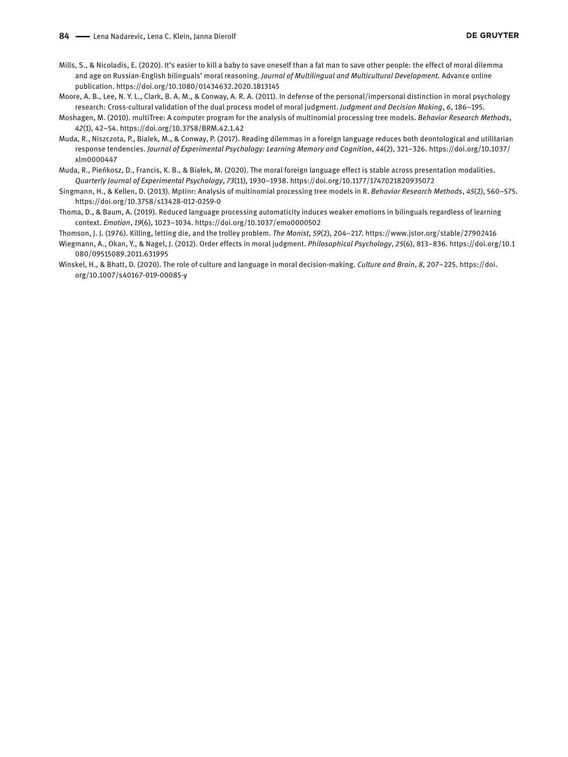- Mills, S., & Nicoladis, E. (2020). It's easier to kill a baby to save oneself than a fat man to save other people: the effect of moral dilemma and age on Russian-English bilinguals' moral reasoning. *Journal of Multilingual and Multicultural Development.* Advance online publication. https://doi.org/10.1080/01434632.2020.1813145
- Moore, A. B., Lee, N. Y. L., Clark, B. A. M., & Conway, A. R. A. (2011). In defense of the personal/impersonal distinction in moral psychology research: Cross-cultural validation of the dual process model of moral judgment. *Judgment and Decision Making*, *6*, 186–195.
- Moshagen, M. (2010). multiTree: A computer program for the analysis of multinomial processing tree models. *Behavior Research Methods*, *42*(1), 42–54. https://doi.org/10.3758/BRM.42.1.42
- Muda, R., Niszczota, P., Bialek, M., & Conway, P. (2017). Reading dilemmas in a foreign language reduces both deontological and utilitarian response tendencies. *Journal of Experimental Psychology: Learning Memory and Cognition*, *44*(2), 321–326. [https://doi.org/10.1037/](https://doi.org/10.1037/xlm0000447) [xlm0000447](https://doi.org/10.1037/xlm0000447)
- Muda, R., Pieńkosz, D., Francis, K. B., & Białek, M. (2020). The moral foreign language effect is stable across presentation modalities. *Quarterly Journal of Experimental Psychology*, *73*(11), 1930–1938. https://doi.org/10.1177/1747021820935072
- Singmann, H., & Kellen, D. (2013). Mptinr: Analysis of multinomial processing tree models in R. *Behavior Research Methods*, *45*(2), 560–575. https://doi.org/10.3758/s13428-012-0259-0
- Thoma, D., & Baum, A. (2019). Reduced language processing automaticity induces weaker emotions in bilinguals regardless of learning context. *Emotion*, *19*(6), 1023–1034. https://doi.org/10.1037/emo0000502
- Thomson, J. J. (1976). Killing, letting die, and the trolley problem. *The Monist*, *59*(2), 204–217. https://www.jstor.org/stable/27902416
- Wiegmann, A., Okan, Y., & Nagel, J. (2012). Order effects in moral judgment. *Philosophical Psychology*, *25*(6), 813–836. [https://doi.org/10.1](https://doi.org/10.1080/09515089.2011.631995) [080/09515089.2011.631995](https://doi.org/10.1080/09515089.2011.631995)
- Winskel, H., & Bhatt, D. (2020). The role of culture and language in moral decision-making. *Culture and Brain*, *8*, 207–225. [https://doi.](https://doi.org/10.1007/s40167-019-00085-y) [org/10.1007/s40167-019-00085-y](https://doi.org/10.1007/s40167-019-00085-y)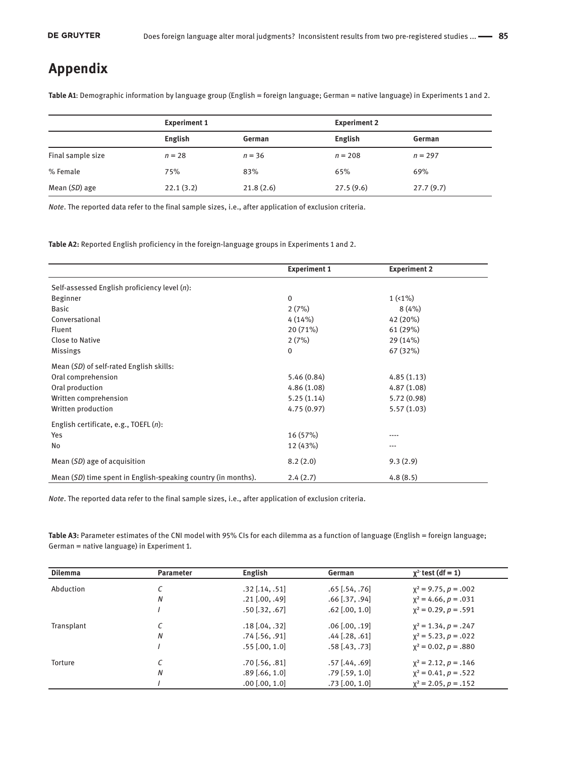# **Appendix**

**Table A1**: Demographic information by language group (English = foreign language; German = native language) in Experiments 1 and 2.

|                   | <b>Experiment 1</b> |           | <b>Experiment 2</b> |           |  |
|-------------------|---------------------|-----------|---------------------|-----------|--|
|                   | English             | German    | English             | German    |  |
| Final sample size | $n = 28$            | $n = 36$  | $n = 208$           | $n = 297$ |  |
| % Female          | 75%                 | 83%       | 65%                 | 69%       |  |
| Mean (SD) age     | 22.1(3.2)           | 21.8(2.6) | 27.5(9.6)           | 27.7(9.7) |  |

*Note*. The reported data refer to the final sample sizes, i.e., after application of exclusion criteria.

**Table A2:** Reported English proficiency in the foreign-language groups in Experiments 1 and 2.

|                                                               | <b>Experiment 1</b> | <b>Experiment 2</b> |
|---------------------------------------------------------------|---------------------|---------------------|
| Self-assessed English proficiency level (n):                  |                     |                     |
| Beginner                                                      | $\Omega$            | $1(1\%)$            |
| <b>Basic</b>                                                  | 2(7%)               | 8(4%)               |
| Conversational                                                | 4(14%)              | 42 (20%)            |
| Fluent                                                        | 20 (71%)            | 61 (29%)            |
| <b>Close to Native</b>                                        | 2(7%)               | 29 (14%)            |
| <b>Missings</b>                                               | 0                   | 67 (32%)            |
| Mean (SD) of self-rated English skills:                       |                     |                     |
| Oral comprehension                                            | 5.46(0.84)          | 4.85(1.13)          |
| Oral production                                               | 4.86(1.08)          | 4.87(1.08)          |
| Written comprehension                                         | 5.25(1.14)          | 5.72(0.98)          |
| Written production                                            | 4.75(0.97)          | 5.57(1.03)          |
| English certificate, e.g., TOEFL $(n)$ :                      |                     |                     |
| Yes                                                           | 16 (57%)            | ----                |
| No                                                            | 12 (43%)            | ---                 |
| Mean (SD) age of acquisition                                  | 8.2(2.0)            | 9.3(2.9)            |
| Mean (SD) time spent in English-speaking country (in months). | 2.4(2.7)            | 4.8(8.5)            |

*Note*. The reported data refer to the final sample sizes, i.e., after application of exclusion criteria.

**Table A3:** Parameter estimates of the CNI model with 95% CIs for each dilemma as a function of language (English = foreign language; German = native language) in Experiment 1.

| <b>Dilemma</b> | <b>Parameter</b> | English                 | German                  | $\chi^2$ test (df = 1)    |
|----------------|------------------|-------------------------|-------------------------|---------------------------|
| Abduction      |                  | $.32$ [ $.14$ , $.51$ ] | $.65$ [ $.54$ , $.76$ ] | $x^2 = 9.75$ , $p = .002$ |
|                | N                | $.21$ [.00, .49]        | $.66$ [.37, .94]        | $x^2 = 4.66$ , $p = .031$ |
|                |                  | $.50$ [ $.32$ , $.67$ ] | $.62$ [.00, 1.0]        | $x^2 = 0.29$ , $p = .591$ |
| Transplant     |                  | $.18$ [.04, .32]        | $.06$ [.00, .19]        | $x^2 = 1.34, p = .247$    |
|                | N                | $.74$ [ $.56, .91$ ]    | $.44$ [.28, .61]        | $x^2 = 5.23$ , $p = .022$ |
|                |                  | $.55$ [.00, 1.0]        | $.58$ [.43, .73]        | $x^2 = 0.02$ , $p = .880$ |
| Torture        |                  | $.70$ [ $.56, .81$ ]    | $.57$ [.44, .69]        | $x^2 = 2.12$ , $p = .146$ |
|                | N                | $.89$ [.66, 1.0]        | $.79$ [ $.59$ , 1.0]    | $x^2 = 0.41$ , $p = .522$ |
|                |                  | $.00$ $[.00, 1.0]$      | $.73$ [.00, 1.0]        | $x^2 = 2.05$ , $p = .152$ |